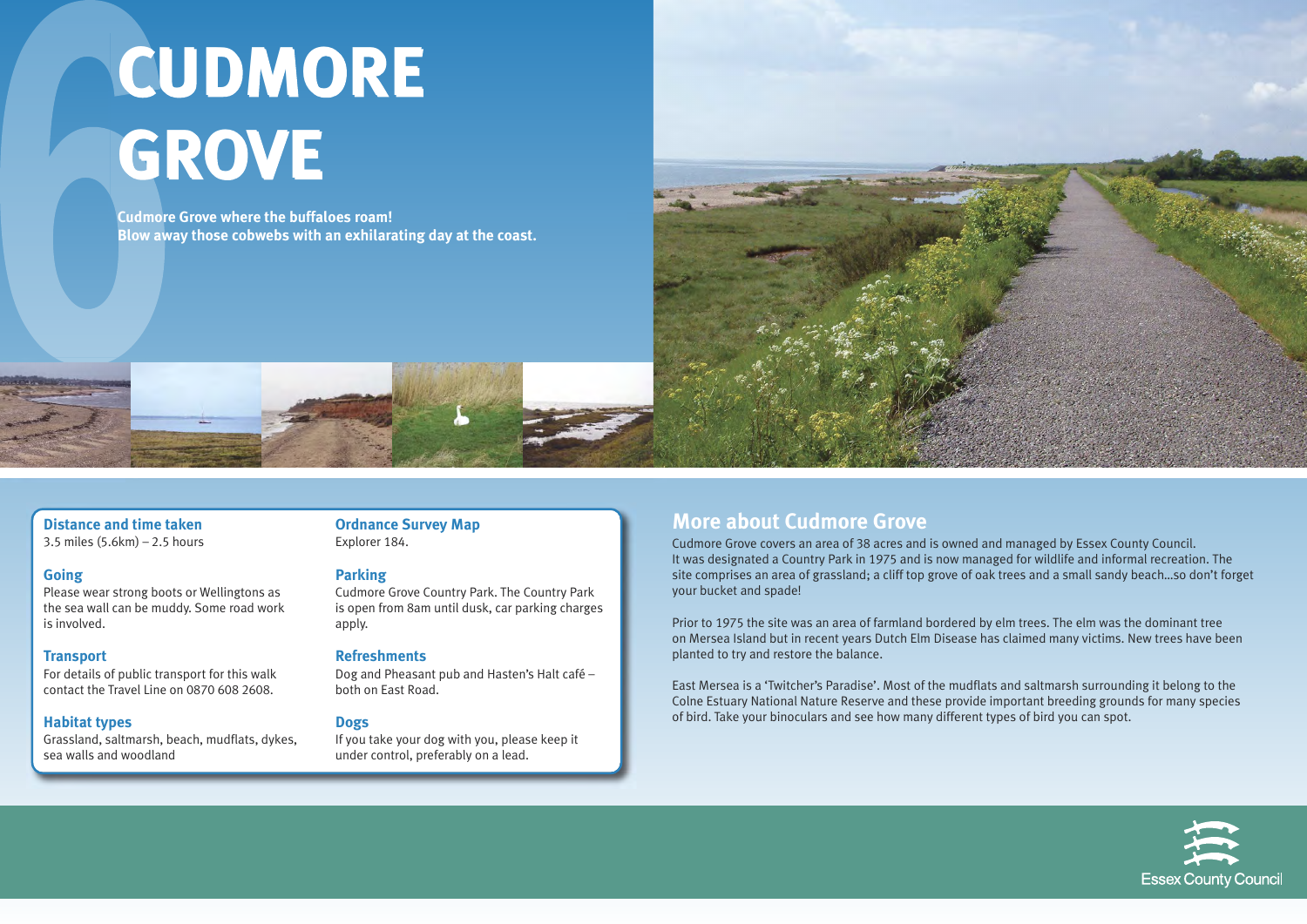#### **Distance and time taken**

3.5 miles (5.6km) – 2.5 hours

#### **Going**

Please wear strong boots or Wellingtons as the sea wall can be muddy. Some road work is involved.

#### **Transport**

For details of public transport for this walk contact the Travel Line on 0870 608 2608.

#### **Habitat types**

Grassland, saltmarsh, beach, mudflats, dykes, sea walls and woodland

## **Ordnance Survey Map**

Explorer 184.

#### **Parking**

Cudmore Grove Country Park. The Country Park is open from 8am until dusk, car parking charges apply.

#### **Refreshments**

Dog and Pheasant pub and Hasten's Halt café – both on East Road.

#### **Dogs**

If you take your dog with you, please keep it under control, preferably on a lead.

## **More about Cudmore Grove**

Cudmore Grove covers an area of 38 acres and is owned and managed by Essex County Council. It was designated a Country Park in 1975 and is now managed for wildlife and informal recreation. The site comprises an area of grassland; a cliff top grove of oak trees and a small sandy beach…so don't forget your bucket and spade!

Prior to 1975 the site was an area of farmland bordered by elm trees. The elm was the dominant tree on Mersea Island but in recent years Dutch Elm Disease has claimed many victims. New trees have been planted to try and restore the balance.

East Mersea is a 'Twitcher's Paradise'. Most of the mudflats and saltmarsh surrounding it belong to the Colne Estuary National Nature Reserve and these provide important breeding grounds for many species of bird. Take your binoculars and see how many different types of bird you can spot.





# **CUDMORE CUDMORE GROVE GROVE**

**Cudmore Grove where the buffaloes roam! Blow away those cobwebs with an exhilarating day at the coast.**